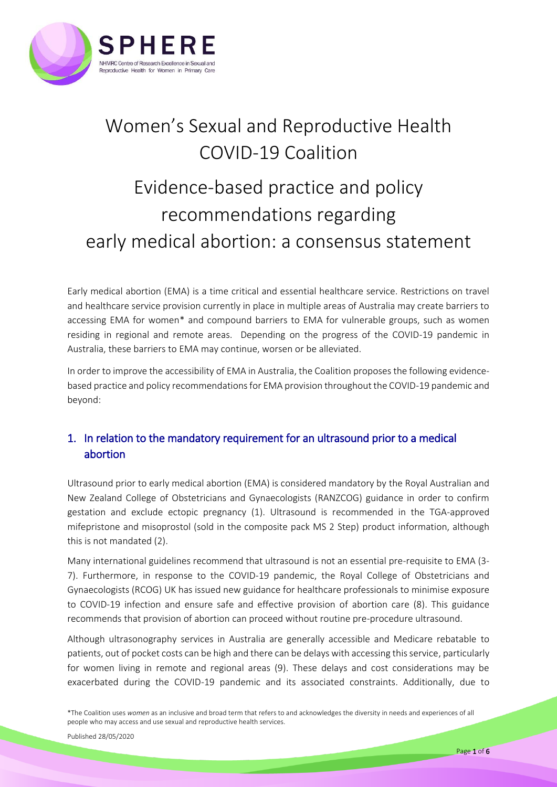

# Women's Sexual and Reproductive Health COVID-19 Coalition

# Evidence-based practice and policy recommendations regarding early medical abortion: a consensus statement

Early medical abortion (EMA) is a time critical and essential healthcare service. Restrictions on travel and healthcare service provision currently in place in multiple areas of Australia may create barriers to accessing EMA for women\* and compound barriers to EMA for vulnerable groups, such as women residing in regional and remote areas. Depending on the progress of the COVID-19 pandemic in Australia, these barriers to EMA may continue, worsen or be alleviated.

In order to improve the accessibility of EMA in Australia, the Coalition proposes the following evidencebased practice and policy recommendations for EMA provision throughout the COVID-19 pandemic and beyond:

## 1. In relation to the mandatory requirement for an ultrasound prior to a medical abortion

Ultrasound prior to early medical abortion (EMA) is considered mandatory by the Royal Australian and New Zealand College of Obstetricians and Gynaecologists (RANZCOG) guidance in order to confirm gestation and exclude ectopic pregnancy (1). Ultrasound is recommended in the TGA-approved mifepristone and misoprostol (sold in the composite pack MS 2 Step) product information, although this is not mandated (2).

Many international guidelines recommend that ultrasound is not an essential pre-requisite to EMA (3- 7). Furthermore, in response to the COVID-19 pandemic, the Royal College of Obstetricians and Gynaecologists (RCOG) UK has issued new guidance for healthcare professionals to minimise exposure to COVID-19 infection and ensure safe and effective provision of abortion care (8). This guidance recommends that provision of abortion can proceed without routine pre-procedure ultrasound.

Although ultrasonography services in Australia are generally accessible and Medicare rebatable to patients, out of pocket costs can be high and there can be delays with accessing this service, particularly for women living in remote and regional areas (9). These delays and cost considerations may be exacerbated during the COVID-19 pandemic and its associated constraints. Additionally, due to

\*The Coalition uses *women* as an inclusive and broad term that refers to and acknowledges the diversity in needs and experiences of all people who may access and use sexual and reproductive health services.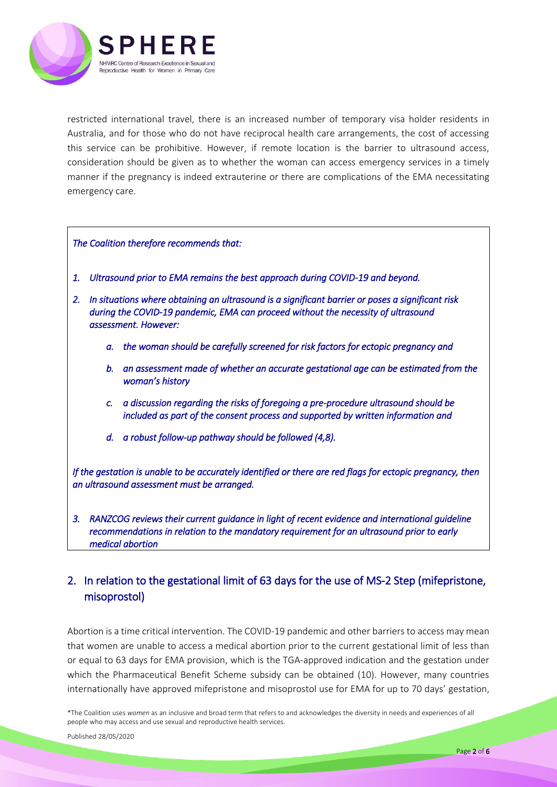

restricted international travel, there is an increased number of temporary visa holder residents in Australia, and for those who do not have reciprocal health care arrangements, the cost of accessing this service can be prohibitive. However, if remote location is the barrier to ultrasound access, consideration should be given as to whether the woman can access emergency services in a timely manner if the pregnancy is indeed extrauterine or there are complications of the EMA necessitating emergency care.

*The Coalition therefore recommends that:* 

- *1. Ultrasound prior to EMA remains the best approach during COVID-19 and beyond.*
- *2. In situations where obtaining an ultrasound is a significant barrier or poses a significant risk during the COVID-19 pandemic, EMA can proceed without the necessity of ultrasound assessment. However:* 
	- *a. the woman should be carefully screened for risk factors for ectopic pregnancy and*
	- *b. an assessment made of whether an accurate gestational age can be estimated from the woman's history*
	- *c. a discussion regarding the risks of foregoing a pre-procedure ultrasound should be included as part of the consent process and supported by written information and*
	- *d. a robust follow-up pathway should be followed (4,8).*

*If the gestation is unable to be accurately identified or there are red flags for ectopic pregnancy, then an ultrasound assessment must be arranged.* 

*3. RANZCOG reviews their current guidance in light of recent evidence and international guideline recommendations in relation to the mandatory requirement for an ultrasound prior to early medical abortion* 

## 2. In relation to the gestational limit of 63 days for the use of MS-2 Step (mifepristone, misoprostol)

Abortion is a time critical intervention. The COVID-19 pandemic and other barriers to access may mean that women are unable to access a medical abortion prior to the current gestational limit of less than or equal to 63 days for EMA provision, which is the TGA-approved indication and the gestation under which the Pharmaceutical Benefit Scheme subsidy can be obtained (10). However, many countries internationally have approved mifepristone and misoprostol use for EMA for up to 70 days' gestation,

\*The Coalition uses *women* as an inclusive and broad term that refers to and acknowledges the diversity in needs and experiences of all people who may access and use sexual and reproductive health services.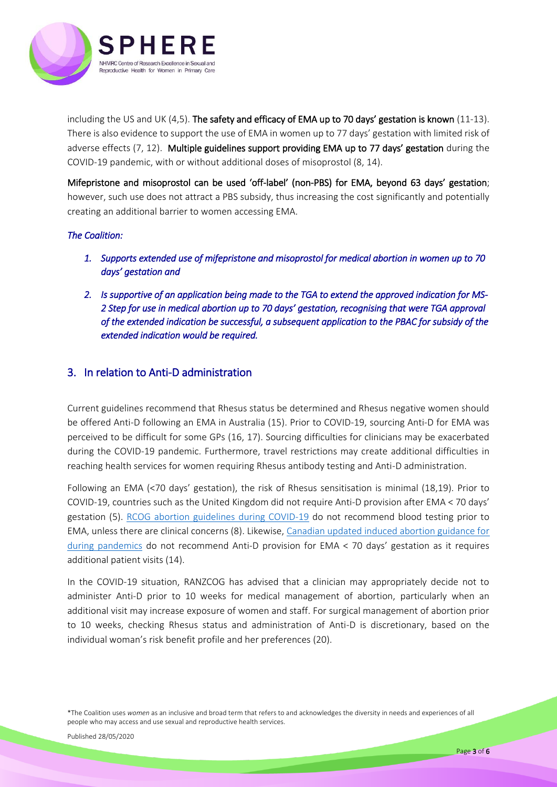

including the US and UK (4,5). The safety and efficacy of EMA up to 70 days' gestation is known (11-13). There is also evidence to support the use of EMA in women up to 77 days' gestation with limited risk of adverse effects (7, 12). Multiple guidelines support providing EMA up to 77 days' gestation during the COVID-19 pandemic, with or without additional doses of misoprostol (8, 14).

Mifepristone and misoprostol can be used 'off-label' (non-PBS) for EMA, beyond 63 days' gestation; however, such use does not attract a PBS subsidy, thus increasing the cost significantly and potentially creating an additional barrier to women accessing EMA.

### *The Coalition:*

- *1. Supports extended use of mifepristone and misoprostol for medical abortion in women up to 70 days' gestation and*
- *2. Is supportive of an application being made to the TGA to extend the approved indication for MS-2 Step for use in medical abortion up to 70 days' gestation, recognising that were TGA approval of the extended indication be successful, a subsequent application to the PBAC for subsidy of the extended indication would be required.*

## 3. In relation to Anti-D administration

Current guidelines recommend that Rhesus status be determined and Rhesus negative women should be offered Anti-D following an EMA in Australia (15). Prior to COVID-19, sourcing Anti-D for EMA was perceived to be difficult for some GPs (16, 17). Sourcing difficulties for clinicians may be exacerbated during the COVID-19 pandemic. Furthermore, travel restrictions may create additional difficulties in reaching health services for women requiring Rhesus antibody testing and Anti-D administration.

Following an EMA (<70 days' gestation), the risk of Rhesus sensitisation is minimal (18,19). Prior to COVID-19, countries such as the United Kingdom did not require Anti-D provision after EMA < 70 days' gestation (5). [RCOG abortion guidelines during COVID-19](https://www.rcog.org.uk/en/guidelines-research-services/guidelines/coronavirus-abortion/) do not recommend blood testing prior to EMA, unless there are clinical concerns (8). Likewise, [Canadian updated induced abortion guidance for](https://sogc.org/en/-COVID-19/en/content/COVID-19/COVID-19.aspx?hkey=4e808c0d-555f-4714-8a4a-348b547dc268)  [during pandemics](https://sogc.org/en/-COVID-19/en/content/COVID-19/COVID-19.aspx?hkey=4e808c0d-555f-4714-8a4a-348b547dc268) do not recommend Anti-D provision for EMA < 70 days' gestation as it requires additional patient visits (14).

In the COVID-19 situation, RANZCOG has advised that a clinician may appropriately decide not to administer Anti-D prior to 10 weeks for medical management of abortion, particularly when an additional visit may increase exposure of women and staff. For surgical management of abortion prior to 10 weeks, checking Rhesus status and administration of Anti-D is discretionary, based on the individual woman's risk benefit profile and her preferences (20).

\*The Coalition uses *women* as an inclusive and broad term that refers to and acknowledges the diversity in needs and experiences of all people who may access and use sexual and reproductive health services.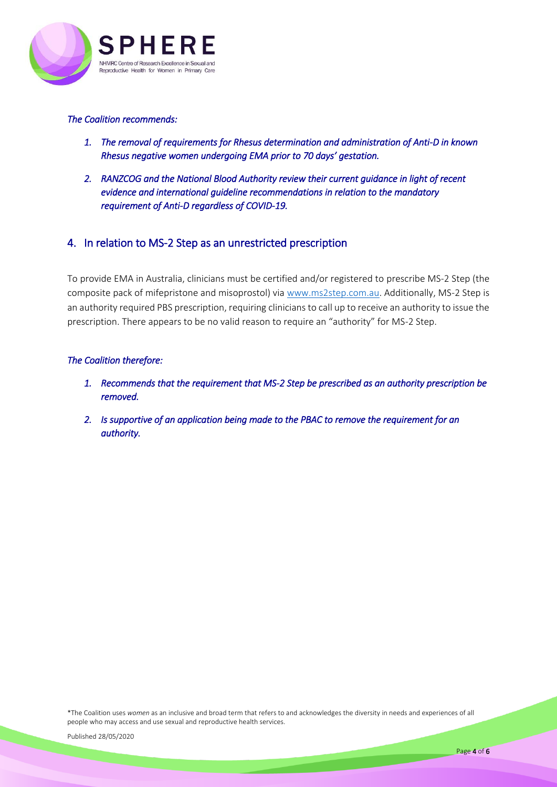

#### *The Coalition recommends:*

- *1. The removal of requirements for Rhesus determination and administration of Anti-D in known Rhesus negative women undergoing EMA prior to 70 days' gestation.*
- *2. RANZCOG and the National Blood Authority review their current guidance in light of recent evidence and international guideline recommendations in relation to the mandatory requirement of Anti-D regardless of COVID-19.*

## 4. In relation to MS-2 Step as an unrestricted prescription

To provide EMA in Australia, clinicians must be certified and/or registered to prescribe MS-2 Step (the composite pack of mifepristone and misoprostol) via [www.ms2step.com.au.](http://www.ms2step.com.au/) Additionally, MS-2 Step is an authority required PBS prescription, requiring clinicians to call up to receive an authority to issue the prescription. There appears to be no valid reason to require an "authority" for MS-2 Step.

### *The Coalition therefore:*

- *1. Recommends that the requirement that MS-2 Step be prescribed as an authority prescription be removed.*
- *2. Is supportive of an application being made to the PBAC to remove the requirement for an authority.*

\*The Coalition uses *women* as an inclusive and broad term that refers to and acknowledges the diversity in needs and experiences of all people who may access and use sexual and reproductive health services.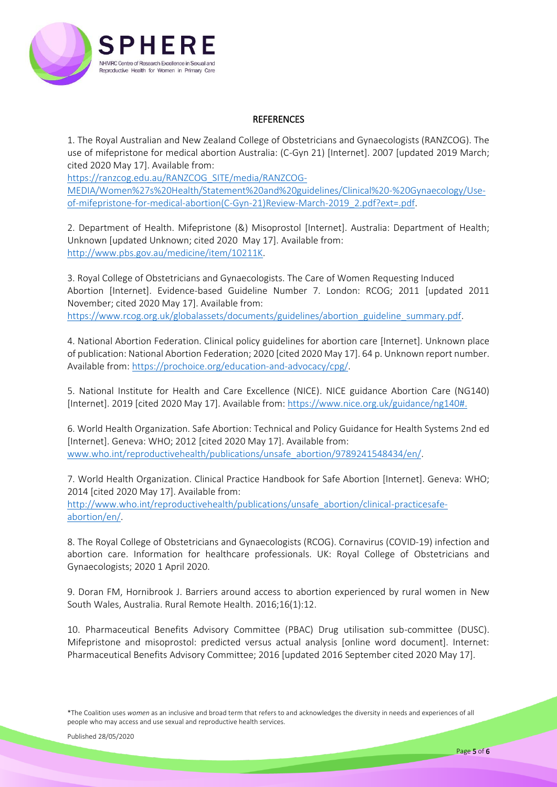

#### **REFERENCES**

1. The Royal Australian and New Zealand College of Obstetricians and Gynaecologists (RANZCOG). The use of mifepristone for medical abortion Australia: (C-Gyn 21) [Internet]. 2007 [updated 2019 March; cited 2020 May 17]. Available from:

[https://ranzcog.edu.au/RANZCOG\\_SITE/media/RANZCOG-](https://ranzcog.edu.au/RANZCOG_SITE/media/RANZCOG-MEDIA/Women%27s%20Health/Statement%20and%20guidelines/Clinical%20-%20Gynaecology/Use-of-mifepristone-for-medical-abortion(C-Gyn-21)Review-March-2019_2.pdf?ext=.pdf)

[MEDIA/Women%27s%20Health/Statement%20and%20guidelines/Clinical%20-%20Gynaecology/Use](https://ranzcog.edu.au/RANZCOG_SITE/media/RANZCOG-MEDIA/Women%27s%20Health/Statement%20and%20guidelines/Clinical%20-%20Gynaecology/Use-of-mifepristone-for-medical-abortion(C-Gyn-21)Review-March-2019_2.pdf?ext=.pdf)[of-mifepristone-for-medical-abortion\(C-Gyn-21\)Review-March-2019\\_2.pdf?ext=.pdf.](https://ranzcog.edu.au/RANZCOG_SITE/media/RANZCOG-MEDIA/Women%27s%20Health/Statement%20and%20guidelines/Clinical%20-%20Gynaecology/Use-of-mifepristone-for-medical-abortion(C-Gyn-21)Review-March-2019_2.pdf?ext=.pdf)

2. Department of Health. Mifepristone (&) Misoprostol [Internet]. Australia: Department of Health; Unknown [updated Unknown; cited 2020 May 17]. Available from: [http://www.pbs.gov.au/medicine/item/10211K.](http://www.pbs.gov.au/medicine/item/10211K)

3. Royal College of Obstetricians and Gynaecologists. The Care of Women Requesting Induced Abortion [Internet]. Evidence-based Guideline Number 7. London: RCOG; 2011 [updated 2011 November; cited 2020 May 17]. Available from: [https://www.rcog.org.uk/globalassets/documents/guidelines/abortion\\_guideline\\_summary.pdf.](https://www.rcog.org.uk/globalassets/documents/guidelines/abortion_guideline_summary.pdf)

4. National Abortion Federation. Clinical policy guidelines for abortion care [Internet]. Unknown place of publication: National Abortion Federation; 2020 [cited 2020 May 17]. 64 p. Unknown report number. Available from: [https://prochoice.org/education-and-advocacy/cpg/.](https://prochoice.org/education-and-advocacy/cpg/)

5. National Institute for Health and Care Excellence (NICE). NICE guidance Abortion Care (NG140) [Internet]. 2019 [cited 2020 May 17]. Available from: [https://www.nice.org.uk/guidance/ng140#.](https://www.nice.org.uk/guidance/ng140)

6. World Health Organization. Safe Abortion: Technical and Policy Guidance for Health Systems 2nd ed [Internet]. Geneva: WHO; 2012 [cited 2020 May 17]. Available from: [www.who.int/reproductivehealth/publications/unsafe\\_abortion/9789241548434/en/.](http://www.who.int/reproductivehealth/publications/unsafe_abortion/9789241548434/en/)

7. World Health Organization. Clinical Practice Handbook for Safe Abortion [Internet]. Geneva: WHO; 2014 [cited 2020 May 17]. Available from: [http://www.who.int/reproductivehealth/publications/unsafe\\_abortion/clinical-practicesafe](http://www.who.int/reproductivehealth/publications/unsafe_abortion/clinical-practicesafe-abortion/en/)[abortion/en/.](http://www.who.int/reproductivehealth/publications/unsafe_abortion/clinical-practicesafe-abortion/en/)

8. The Royal College of Obstetricians and Gynaecologists (RCOG). Cornavirus (COVID-19) infection and abortion care. Information for healthcare professionals. UK: Royal College of Obstetricians and Gynaecologists; 2020 1 April 2020.

9. Doran FM, Hornibrook J. Barriers around access to abortion experienced by rural women in New South Wales, Australia. Rural Remote Health. 2016;16(1):12.

10. Pharmaceutical Benefits Advisory Committee (PBAC) Drug utilisation sub-committee (DUSC). Mifepristone and misoprostol: predicted versus actual analysis [online word document]. Internet: Pharmaceutical Benefits Advisory Committee; 2016 [updated 2016 September cited 2020 May 17].

\*The Coalition uses *women* as an inclusive and broad term that refers to and acknowledges the diversity in needs and experiences of all people who may access and use sexual and reproductive health services.